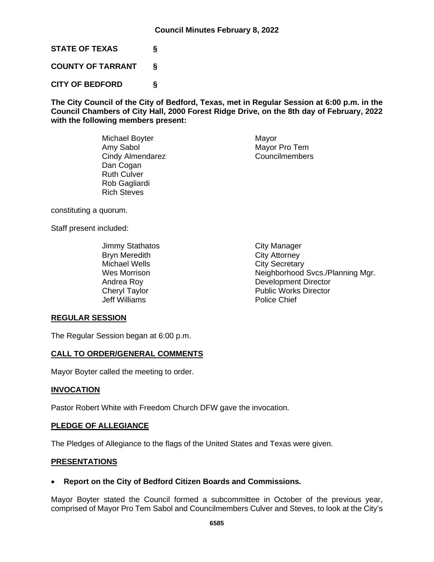**STATE OF TEXAS §**

**COUNTY OF TARRANT §**

**CITY OF BEDFORD §**

**The City Council of the City of Bedford, Texas, met in Regular Session at 6:00 p.m. in the Council Chambers of City Hall, 2000 Forest Ridge Drive, on the 8th day of February, 2022 with the following members present:**

> Michael Boyter **Mayor** Mayor Amy Sabol Mayor Pro Tem<br>
> Cindy Almendarez Councilmembers Cindy Almendarez Dan Cogan Ruth Culver Rob Gagliardi Rich Steves

constituting a quorum.

Staff present included:

Jimmy Stathatos **City Manager** Bryn Meredith **City Attorney** Michael Wells<br>
Wes Morrison<br>
Wes Morrison<br>
City Secretary<br>
Neighborhood Jeff Williams Police Chief

Neighborhood Svcs./Planning Mgr. Andrea Roy **Development Director** Cheryl Taylor **Public Works Director** 

### **REGULAR SESSION**

The Regular Session began at 6:00 p.m.

### **CALL TO ORDER/GENERAL COMMENTS**

Mayor Boyter called the meeting to order.

#### **INVOCATION**

Pastor Robert White with Freedom Church DFW gave the invocation.

#### **PLEDGE OF ALLEGIANCE**

The Pledges of Allegiance to the flags of the United States and Texas were given.

#### **PRESENTATIONS**

### • **Report on the City of Bedford Citizen Boards and Commissions.**

Mayor Boyter stated the Council formed a subcommittee in October of the previous year, comprised of Mayor Pro Tem Sabol and Councilmembers Culver and Steves, to look at the City's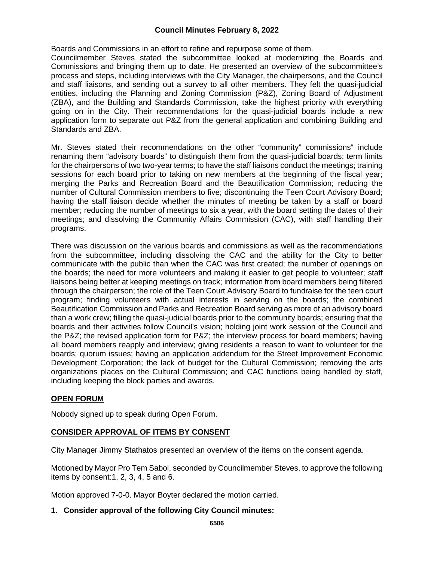Boards and Commissions in an effort to refine and repurpose some of them.

Councilmember Steves stated the subcommittee looked at modernizing the Boards and Commissions and bringing them up to date. He presented an overview of the subcommittee's process and steps, including interviews with the City Manager, the chairpersons, and the Council and staff liaisons, and sending out a survey to all other members. They felt the quasi-judicial entities, including the Planning and Zoning Commission (P&Z), Zoning Board of Adjustment (ZBA), and the Building and Standards Commission, take the highest priority with everything going on in the City. Their recommendations for the quasi-judicial boards include a new application form to separate out P&Z from the general application and combining Building and Standards and ZBA.

Mr. Steves stated their recommendations on the other "community" commissions" include renaming them "advisory boards" to distinguish them from the quasi-judicial boards; term limits for the chairpersons of two two-year terms; to have the staff liaisons conduct the meetings; training sessions for each board prior to taking on new members at the beginning of the fiscal year; merging the Parks and Recreation Board and the Beautification Commission; reducing the number of Cultural Commission members to five; discontinuing the Teen Court Advisory Board; having the staff liaison decide whether the minutes of meeting be taken by a staff or board member; reducing the number of meetings to six a year, with the board setting the dates of their meetings; and dissolving the Community Affairs Commission (CAC), with staff handling their programs.

There was discussion on the various boards and commissions as well as the recommendations from the subcommittee, including dissolving the CAC and the ability for the City to better communicate with the public than when the CAC was first created; the number of openings on the boards; the need for more volunteers and making it easier to get people to volunteer; staff liaisons being better at keeping meetings on track; information from board members being filtered through the chairperson; the role of the Teen Court Advisory Board to fundraise for the teen court program; finding volunteers with actual interests in serving on the boards; the combined Beautification Commission and Parks and Recreation Board serving as more of an advisory board than a work crew; filling the quasi-judicial boards prior to the community boards; ensuring that the boards and their activities follow Council's vision; holding joint work session of the Council and the P&Z; the revised application form for P&Z; the interview process for board members; having all board members reapply and interview; giving residents a reason to want to volunteer for the boards; quorum issues; having an application addendum for the Street Improvement Economic Development Corporation; the lack of budget for the Cultural Commission; removing the arts organizations places on the Cultural Commission; and CAC functions being handled by staff, including keeping the block parties and awards.

### **OPEN FORUM**

Nobody signed up to speak during Open Forum.

### **CONSIDER APPROVAL OF ITEMS BY CONSENT**

City Manager Jimmy Stathatos presented an overview of the items on the consent agenda.

Motioned by Mayor Pro Tem Sabol, seconded by Councilmember Steves, to approve the following items by consent:1, 2, 3, 4, 5 and 6.

Motion approved 7-0-0. Mayor Boyter declared the motion carried.

#### **1. Consider approval of the following City Council minutes:**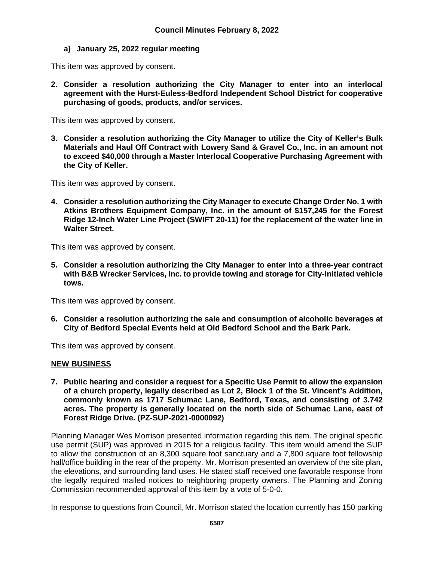## **a) January 25, 2022 regular meeting**

This item was approved by consent.

**2. Consider a resolution authorizing the City Manager to enter into an interlocal agreement with the Hurst-Euless-Bedford Independent School District for cooperative purchasing of goods, products, and/or services.**

This item was approved by consent.

**3. Consider a resolution authorizing the City Manager to utilize the City of Keller's Bulk Materials and Haul Off Contract with Lowery Sand & Gravel Co., Inc. in an amount not to exceed \$40,000 through a Master Interlocal Cooperative Purchasing Agreement with the City of Keller.**

This item was approved by consent.

**4. Consider a resolution authorizing the City Manager to execute Change Order No. 1 with Atkins Brothers Equipment Company, Inc. in the amount of \$157,245 for the Forest Ridge 12-Inch Water Line Project (SWIFT 20-11) for the replacement of the water line in Walter Street.**

This item was approved by consent.

**5. Consider a resolution authorizing the City Manager to enter into a three-year contract with B&B Wrecker Services, Inc. to provide towing and storage for City-initiated vehicle tows.**

This item was approved by consent.

**6. Consider a resolution authorizing the sale and consumption of alcoholic beverages at City of Bedford Special Events held at Old Bedford School and the Bark Park.**

This item was approved by consent.

### **NEW BUSINESS**

**7. Public hearing and consider a request for a Specific Use Permit to allow the expansion of a church property, legally described as Lot 2, Block 1 of the St. Vincent's Addition, commonly known as 1717 Schumac Lane, Bedford, Texas, and consisting of 3.742 acres. The property is generally located on the north side of Schumac Lane, east of Forest Ridge Drive. (PZ-SUP-2021-0000092)** 

Planning Manager Wes Morrison presented information regarding this item. The original specific use permit (SUP) was approved in 2015 for a religious facility. This item would amend the SUP to allow the construction of an 8,300 square foot sanctuary and a 7,800 square foot fellowship hall/office building in the rear of the property. Mr. Morrison presented an overview of the site plan, the elevations, and surrounding land uses. He stated staff received one favorable response from the legally required mailed notices to neighboring property owners. The Planning and Zoning Commission recommended approval of this item by a vote of 5-0-0.

In response to questions from Council, Mr. Morrison stated the location currently has 150 parking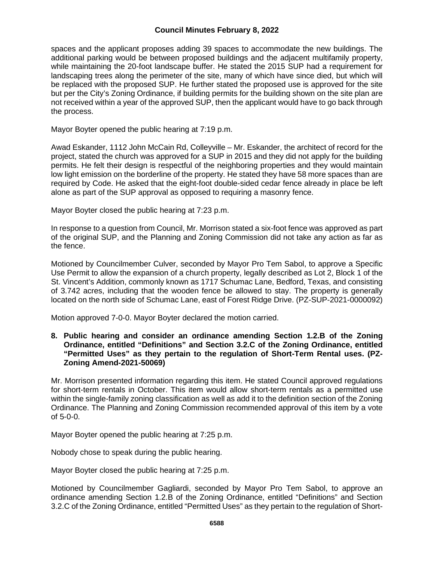spaces and the applicant proposes adding 39 spaces to accommodate the new buildings. The additional parking would be between proposed buildings and the adjacent multifamily property, while maintaining the 20-foot landscape buffer. He stated the 2015 SUP had a requirement for landscaping trees along the perimeter of the site, many of which have since died, but which will be replaced with the proposed SUP. He further stated the proposed use is approved for the site but per the City's Zoning Ordinance, if building permits for the building shown on the site plan are not received within a year of the approved SUP, then the applicant would have to go back through the process.

Mayor Boyter opened the public hearing at 7:19 p.m.

Awad Eskander, 1112 John McCain Rd, Colleyville – Mr. Eskander, the architect of record for the project, stated the church was approved for a SUP in 2015 and they did not apply for the building permits. He felt their design is respectful of the neighboring properties and they would maintain low light emission on the borderline of the property. He stated they have 58 more spaces than are required by Code. He asked that the eight-foot double-sided cedar fence already in place be left alone as part of the SUP approval as opposed to requiring a masonry fence.

Mayor Boyter closed the public hearing at 7:23 p.m.

In response to a question from Council, Mr. Morrison stated a six-foot fence was approved as part of the original SUP, and the Planning and Zoning Commission did not take any action as far as the fence.

Motioned by Councilmember Culver, seconded by Mayor Pro Tem Sabol, to approve a Specific Use Permit to allow the expansion of a church property, legally described as Lot 2, Block 1 of the St. Vincent's Addition, commonly known as 1717 Schumac Lane, Bedford, Texas, and consisting of 3.742 acres, including that the wooden fence be allowed to stay. The property is generally located on the north side of Schumac Lane, east of Forest Ridge Drive. (PZ-SUP-2021-0000092)

Motion approved 7-0-0. Mayor Boyter declared the motion carried.

**8. Public hearing and consider an ordinance amending Section 1.2.B of the Zoning Ordinance, entitled "Definitions" and Section 3.2.C of the Zoning Ordinance, entitled "Permitted Uses" as they pertain to the regulation of Short-Term Rental uses. (PZ-Zoning Amend-2021-50069)**

Mr. Morrison presented information regarding this item. He stated Council approved regulations for short-term rentals in October. This item would allow short-term rentals as a permitted use within the single-family zoning classification as well as add it to the definition section of the Zoning Ordinance. The Planning and Zoning Commission recommended approval of this item by a vote of 5-0-0.

Mayor Boyter opened the public hearing at 7:25 p.m.

Nobody chose to speak during the public hearing.

Mayor Boyter closed the public hearing at 7:25 p.m.

Motioned by Councilmember Gagliardi, seconded by Mayor Pro Tem Sabol, to approve an ordinance amending Section 1.2.B of the Zoning Ordinance, entitled "Definitions" and Section 3.2.C of the Zoning Ordinance, entitled "Permitted Uses" as they pertain to the regulation of Short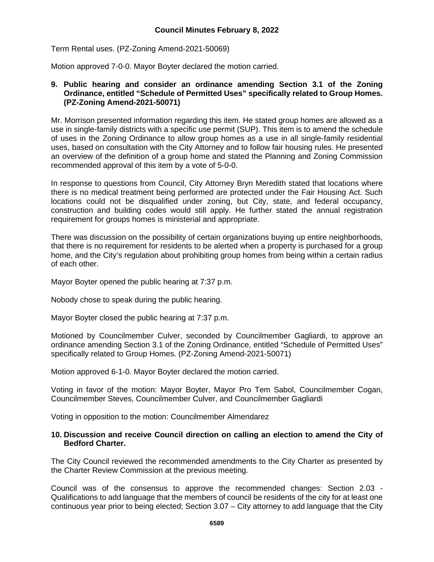Term Rental uses. (PZ-Zoning Amend-2021-50069)

Motion approved 7-0-0. Mayor Boyter declared the motion carried.

#### **9. Public hearing and consider an ordinance amending Section 3.1 of the Zoning Ordinance, entitled "Schedule of Permitted Uses" specifically related to Group Homes. (PZ-Zoning Amend-2021-50071)**

Mr. Morrison presented information regarding this item. He stated group homes are allowed as a use in single-family districts with a specific use permit (SUP). This item is to amend the schedule of uses in the Zoning Ordinance to allow group homes as a use in all single-family residential uses, based on consultation with the City Attorney and to follow fair housing rules. He presented an overview of the definition of a group home and stated the Planning and Zoning Commission recommended approval of this item by a vote of 5-0-0.

In response to questions from Council, City Attorney Bryn Meredith stated that locations where there is no medical treatment being performed are protected under the Fair Housing Act. Such locations could not be disqualified under zoning, but City, state, and federal occupancy, construction and building codes would still apply. He further stated the annual registration requirement for groups homes is ministerial and appropriate.

There was discussion on the possibility of certain organizations buying up entire neighborhoods, that there is no requirement for residents to be alerted when a property is purchased for a group home, and the City's regulation about prohibiting group homes from being within a certain radius of each other.

Mayor Boyter opened the public hearing at 7:37 p.m.

Nobody chose to speak during the public hearing.

Mayor Boyter closed the public hearing at 7:37 p.m.

Motioned by Councilmember Culver, seconded by Councilmember Gagliardi, to approve an ordinance amending Section 3.1 of the Zoning Ordinance, entitled "Schedule of Permitted Uses" specifically related to Group Homes. (PZ-Zoning Amend-2021-50071)

Motion approved 6-1-0. Mayor Boyter declared the motion carried.

Voting in favor of the motion: Mayor Boyter, Mayor Pro Tem Sabol, Councilmember Cogan, Councilmember Steves, Councilmember Culver, and Councilmember Gagliardi

Voting in opposition to the motion: Councilmember Almendarez

#### **10. Discussion and receive Council direction on calling an election to amend the City of Bedford Charter.**

The City Council reviewed the recommended amendments to the City Charter as presented by the Charter Review Commission at the previous meeting.

Council was of the consensus to approve the recommended changes: Section 2.03 - Qualifications to add language that the members of council be residents of the city for at least one continuous year prior to being elected; Section 3.07 – City attorney to add language that the City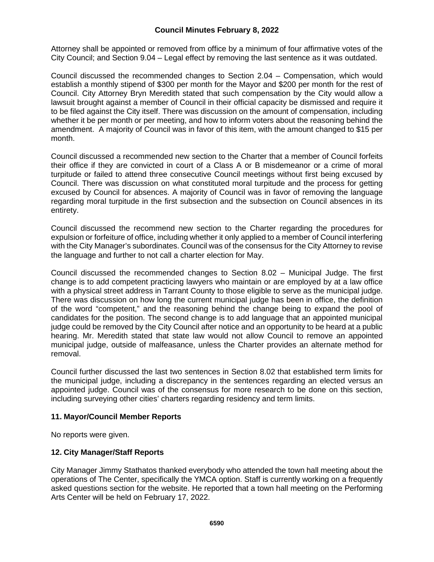Attorney shall be appointed or removed from office by a minimum of four affirmative votes of the City Council; and Section 9.04 – Legal effect by removing the last sentence as it was outdated.

Council discussed the recommended changes to Section 2.04 – Compensation, which would establish a monthly stipend of \$300 per month for the Mayor and \$200 per month for the rest of Council. City Attorney Bryn Meredith stated that such compensation by the City would allow a lawsuit brought against a member of Council in their official capacity be dismissed and require it to be filed against the City itself. There was discussion on the amount of compensation, including whether it be per month or per meeting, and how to inform voters about the reasoning behind the amendment. A majority of Council was in favor of this item, with the amount changed to \$15 per month.

Council discussed a recommended new section to the Charter that a member of Council forfeits their office if they are convicted in court of a Class A or B misdemeanor or a crime of moral turpitude or failed to attend three consecutive Council meetings without first being excused by Council. There was discussion on what constituted moral turpitude and the process for getting excused by Council for absences. A majority of Council was in favor of removing the language regarding moral turpitude in the first subsection and the subsection on Council absences in its entirety.

Council discussed the recommend new section to the Charter regarding the procedures for expulsion or forfeiture of office, including whether it only applied to a member of Council interfering with the City Manager's subordinates. Council was of the consensus for the City Attorney to revise the language and further to not call a charter election for May.

Council discussed the recommended changes to Section 8.02 – Municipal Judge. The first change is to add competent practicing lawyers who maintain or are employed by at a law office with a physical street address in Tarrant County to those eligible to serve as the municipal judge. There was discussion on how long the current municipal judge has been in office, the definition of the word "competent," and the reasoning behind the change being to expand the pool of candidates for the position. The second change is to add language that an appointed municipal judge could be removed by the City Council after notice and an opportunity to be heard at a public hearing. Mr. Meredith stated that state law would not allow Council to remove an appointed municipal judge, outside of malfeasance, unless the Charter provides an alternate method for removal.

Council further discussed the last two sentences in Section 8.02 that established term limits for the municipal judge, including a discrepancy in the sentences regarding an elected versus an appointed judge. Council was of the consensus for more research to be done on this section, including surveying other cities' charters regarding residency and term limits.

### **11. Mayor/Council Member Reports**

No reports were given.

### **12. City Manager/Staff Reports**

City Manager Jimmy Stathatos thanked everybody who attended the town hall meeting about the operations of The Center, specifically the YMCA option. Staff is currently working on a frequently asked questions section for the website. He reported that a town hall meeting on the Performing Arts Center will be held on February 17, 2022.